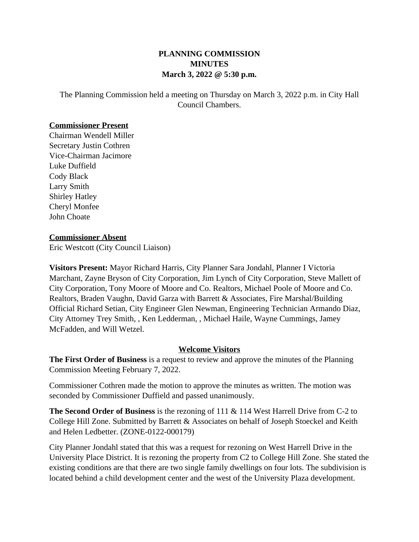## **PLANNING COMMISSION MINUTES March 3, 2022 @ 5:30 p.m.**

The Planning Commission held a meeting on Thursday on March 3, 2022 p.m. in City Hall Council Chambers.

## **Commissioner Present**

Chairman Wendell Miller Secretary Justin Cothren Vice-Chairman Jacimore Luke Duffield Cody Black Larry Smith Shirley Hatley Cheryl Monfee John Choate

## **Commissioner Absent**

Eric Westcott (City Council Liaison)

**Visitors Present:** Mayor Richard Harris, City Planner Sara Jondahl, Planner I Victoria Marchant, Zayne Bryson of City Corporation, Jim Lynch of City Corporation, Steve Mallett of City Corporation, Tony Moore of Moore and Co. Realtors, Michael Poole of Moore and Co. Realtors, Braden Vaughn, David Garza with Barrett & Associates, Fire Marshal/Building Official Richard Setian, City Engineer Glen Newman, Engineering Technician Armando Diaz, City Attorney Trey Smith, , Ken Ledderman, , Michael Haile, Wayne Cummings, Jamey McFadden, and Will Wetzel.

## **Welcome Visitors**

**The First Order of Business** is a request to review and approve the minutes of the Planning Commission Meeting February 7, 2022.

Commissioner Cothren made the motion to approve the minutes as written. The motion was seconded by Commissioner Duffield and passed unanimously.

**The Second Order of Business** is the rezoning of 111 & 114 West Harrell Drive from C-2 to College Hill Zone. Submitted by Barrett & Associates on behalf of Joseph Stoeckel and Keith and Helen Ledbetter. (ZONE-0122-000179)

City Planner Jondahl stated that this was a request for rezoning on West Harrell Drive in the University Place District. It is rezoning the property from C2 to College Hill Zone. She stated the existing conditions are that there are two single family dwellings on four lots. The subdivision is located behind a child development center and the west of the University Plaza development.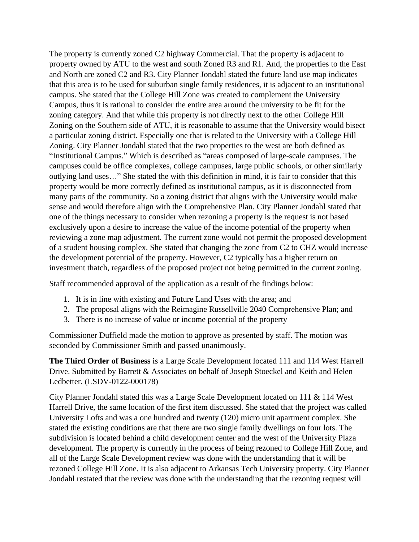The property is currently zoned C2 highway Commercial. That the property is adjacent to property owned by ATU to the west and south Zoned R3 and R1. And, the properties to the East and North are zoned C2 and R3. City Planner Jondahl stated the future land use map indicates that this area is to be used for suburban single family residences, it is adjacent to an institutional campus. She stated that the College Hill Zone was created to complement the University Campus, thus it is rational to consider the entire area around the university to be fit for the zoning category. And that while this property is not directly next to the other College Hill Zoning on the Southern side of ATU, it is reasonable to assume that the University would bisect a particular zoning district. Especially one that is related to the University with a College Hill Zoning. City Planner Jondahl stated that the two properties to the west are both defined as "Institutional Campus." Which is described as "areas composed of large-scale campuses. The campuses could be office complexes, college campuses, large public schools, or other similarly outlying land uses…" She stated the with this definition in mind, it is fair to consider that this property would be more correctly defined as institutional campus, as it is disconnected from many parts of the community. So a zoning district that aligns with the University would make sense and would therefore align with the Comprehensive Plan. City Planner Jondahl stated that one of the things necessary to consider when rezoning a property is the request is not based exclusively upon a desire to increase the value of the income potential of the property when reviewing a zone map adjustment. The current zone would not permit the proposed development of a student housing complex. She stated that changing the zone from C2 to CHZ would increase the development potential of the property. However, C2 typically has a higher return on investment thatch, regardless of the proposed project not being permitted in the current zoning.

Staff recommended approval of the application as a result of the findings below:

- 1. It is in line with existing and Future Land Uses with the area; and
- 2. The proposal aligns with the Reimagine Russellville 2040 Comprehensive Plan; and
- 3. There is no increase of value or income potential of the property

Commissioner Duffield made the motion to approve as presented by staff. The motion was seconded by Commissioner Smith and passed unanimously.

**The Third Order of Business** is a Large Scale Development located 111 and 114 West Harrell Drive. Submitted by Barrett & Associates on behalf of Joseph Stoeckel and Keith and Helen Ledbetter. (LSDV-0122-000178)

City Planner Jondahl stated this was a Large Scale Development located on 111 & 114 West Harrell Drive, the same location of the first item discussed. She stated that the project was called University Lofts and was a one hundred and twenty (120) micro unit apartment complex. She stated the existing conditions are that there are two single family dwellings on four lots. The subdivision is located behind a child development center and the west of the University Plaza development. The property is currently in the process of being rezoned to College Hill Zone, and all of the Large Scale Development review was done with the understanding that it will be rezoned College Hill Zone. It is also adjacent to Arkansas Tech University property. City Planner Jondahl restated that the review was done with the understanding that the rezoning request will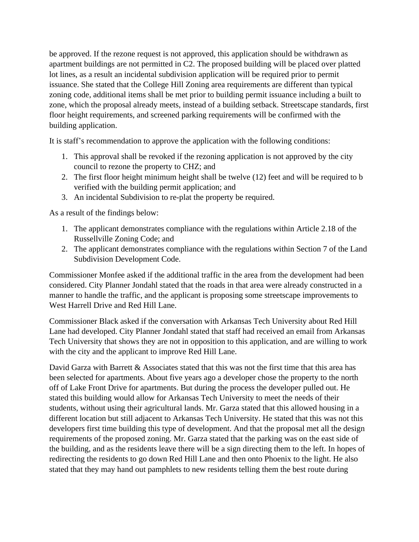be approved. If the rezone request is not approved, this application should be withdrawn as apartment buildings are not permitted in C2. The proposed building will be placed over platted lot lines, as a result an incidental subdivision application will be required prior to permit issuance. She stated that the College Hill Zoning area requirements are different than typical zoning code, additional items shall be met prior to building permit issuance including a built to zone, which the proposal already meets, instead of a building setback. Streetscape standards, first floor height requirements, and screened parking requirements will be confirmed with the building application.

It is staff's recommendation to approve the application with the following conditions:

- 1. This approval shall be revoked if the rezoning application is not approved by the city council to rezone the property to CHZ; and
- 2. The first floor height minimum height shall be twelve (12) feet and will be required to b verified with the building permit application; and
- 3. An incidental Subdivision to re-plat the property be required.

As a result of the findings below:

- 1. The applicant demonstrates compliance with the regulations within Article 2.18 of the Russellville Zoning Code; and
- 2. The applicant demonstrates compliance with the regulations within Section 7 of the Land Subdivision Development Code.

Commissioner Monfee asked if the additional traffic in the area from the development had been considered. City Planner Jondahl stated that the roads in that area were already constructed in a manner to handle the traffic, and the applicant is proposing some streetscape improvements to West Harrell Drive and Red Hill Lane.

Commissioner Black asked if the conversation with Arkansas Tech University about Red Hill Lane had developed. City Planner Jondahl stated that staff had received an email from Arkansas Tech University that shows they are not in opposition to this application, and are willing to work with the city and the applicant to improve Red Hill Lane.

David Garza with Barrett  $\&$  Associates stated that this was not the first time that this area has been selected for apartments. About five years ago a developer chose the property to the north off of Lake Front Drive for apartments. But during the process the developer pulled out. He stated this building would allow for Arkansas Tech University to meet the needs of their students, without using their agricultural lands. Mr. Garza stated that this allowed housing in a different location but still adjacent to Arkansas Tech University. He stated that this was not this developers first time building this type of development. And that the proposal met all the design requirements of the proposed zoning. Mr. Garza stated that the parking was on the east side of the building, and as the residents leave there will be a sign directing them to the left. In hopes of redirecting the residents to go down Red Hill Lane and then onto Phoenix to the light. He also stated that they may hand out pamphlets to new residents telling them the best route during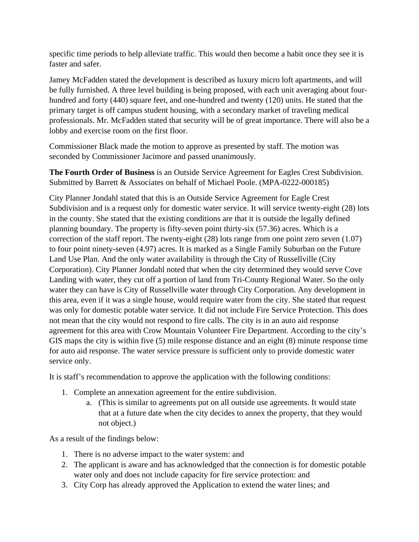specific time periods to help alleviate traffic. This would then become a habit once they see it is faster and safer.

Jamey McFadden stated the development is described as luxury micro loft apartments, and will be fully furnished. A three level building is being proposed, with each unit averaging about fourhundred and forty (440) square feet, and one-hundred and twenty (120) units. He stated that the primary target is off campus student housing, with a secondary market of traveling medical professionals. Mr. McFadden stated that security will be of great importance. There will also be a lobby and exercise room on the first floor.

Commissioner Black made the motion to approve as presented by staff. The motion was seconded by Commissioner Jacimore and passed unanimously.

**The Fourth Order of Business** is an Outside Service Agreement for Eagles Crest Subdivision. Submitted by Barrett & Associates on behalf of Michael Poole. (MPA-0222-000185)

City Planner Jondahl stated that this is an Outside Service Agreement for Eagle Crest Subdivision and is a request only for domestic water service. It will service twenty-eight (28) lots in the county. She stated that the existing conditions are that it is outside the legally defined planning boundary. The property is fifty-seven point thirty-six (57.36) acres. Which is a correction of the staff report. The twenty-eight (28) lots range from one point zero seven (1.07) to four point ninety-seven (4.97) acres. It is marked as a Single Family Suburban on the Future Land Use Plan. And the only water availability is through the City of Russellville (City Corporation). City Planner Jondahl noted that when the city determined they would serve Cove Landing with water, they cut off a portion of land from Tri-County Regional Water. So the only water they can have is City of Russellville water through City Corporation. Any development in this area, even if it was a single house, would require water from the city. She stated that request was only for domestic potable water service. It did not include Fire Service Protection. This does not mean that the city would not respond to fire calls. The city is in an auto aid response agreement for this area with Crow Mountain Volunteer Fire Department. According to the city's GIS maps the city is within five (5) mile response distance and an eight (8) minute response time for auto aid response. The water service pressure is sufficient only to provide domestic water service only.

It is staff's recommendation to approve the application with the following conditions:

- 1. Complete an annexation agreement for the entire subdivision.
	- a. (This is similar to agreements put on all outside use agreements. It would state that at a future date when the city decides to annex the property, that they would not object.)

As a result of the findings below:

- 1. There is no adverse impact to the water system: and
- 2. The applicant is aware and has acknowledged that the connection is for domestic potable water only and does not include capacity for fire service protection: and
- 3. City Corp has already approved the Application to extend the water lines; and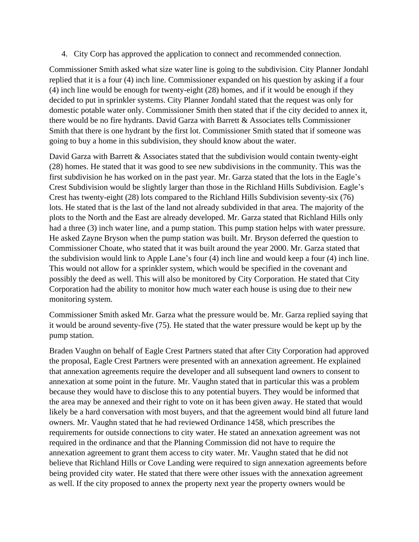4. City Corp has approved the application to connect and recommended connection.

Commissioner Smith asked what size water line is going to the subdivision. City Planner Jondahl replied that it is a four (4) inch line. Commissioner expanded on his question by asking if a four (4) inch line would be enough for twenty-eight (28) homes, and if it would be enough if they decided to put in sprinkler systems. City Planner Jondahl stated that the request was only for domestic potable water only. Commissioner Smith then stated that if the city decided to annex it, there would be no fire hydrants. David Garza with Barrett & Associates tells Commissioner Smith that there is one hydrant by the first lot. Commissioner Smith stated that if someone was going to buy a home in this subdivision, they should know about the water.

David Garza with Barrett & Associates stated that the subdivision would contain twenty-eight (28) homes. He stated that it was good to see new subdivisions in the community. This was the first subdivision he has worked on in the past year. Mr. Garza stated that the lots in the Eagle's Crest Subdivision would be slightly larger than those in the Richland Hills Subdivision. Eagle's Crest has twenty-eight (28) lots compared to the Richland Hills Subdivision seventy-six (76) lots. He stated that is the last of the land not already subdivided in that area. The majority of the plots to the North and the East are already developed. Mr. Garza stated that Richland Hills only had a three (3) inch water line, and a pump station. This pump station helps with water pressure. He asked Zayne Bryson when the pump station was built. Mr. Bryson deferred the question to Commissioner Choate, who stated that it was built around the year 2000. Mr. Garza stated that the subdivision would link to Apple Lane's four (4) inch line and would keep a four (4) inch line. This would not allow for a sprinkler system, which would be specified in the covenant and possibly the deed as well. This will also be monitored by City Corporation. He stated that City Corporation had the ability to monitor how much water each house is using due to their new monitoring system.

Commissioner Smith asked Mr. Garza what the pressure would be. Mr. Garza replied saying that it would be around seventy-five (75). He stated that the water pressure would be kept up by the pump station.

Braden Vaughn on behalf of Eagle Crest Partners stated that after City Corporation had approved the proposal, Eagle Crest Partners were presented with an annexation agreement. He explained that annexation agreements require the developer and all subsequent land owners to consent to annexation at some point in the future. Mr. Vaughn stated that in particular this was a problem because they would have to disclose this to any potential buyers. They would be informed that the area may be annexed and their right to vote on it has been given away. He stated that would likely be a hard conversation with most buyers, and that the agreement would bind all future land owners. Mr. Vaughn stated that he had reviewed Ordinance 1458, which prescribes the requirements for outside connections to city water. He stated an annexation agreement was not required in the ordinance and that the Planning Commission did not have to require the annexation agreement to grant them access to city water. Mr. Vaughn stated that he did not believe that Richland Hills or Cove Landing were required to sign annexation agreements before being provided city water. He stated that there were other issues with the annexation agreement as well. If the city proposed to annex the property next year the property owners would be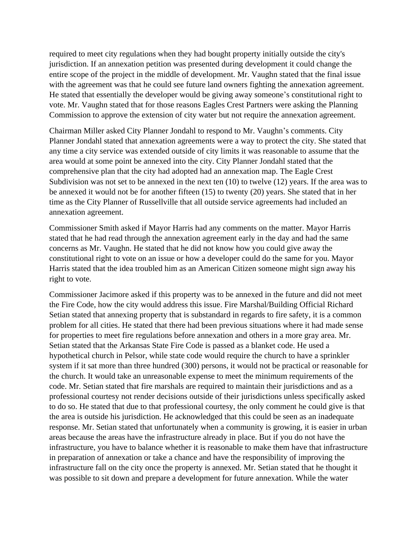required to meet city regulations when they had bought property initially outside the city's jurisdiction. If an annexation petition was presented during development it could change the entire scope of the project in the middle of development. Mr. Vaughn stated that the final issue with the agreement was that he could see future land owners fighting the annexation agreement. He stated that essentially the developer would be giving away someone's constitutional right to vote. Mr. Vaughn stated that for those reasons Eagles Crest Partners were asking the Planning Commission to approve the extension of city water but not require the annexation agreement.

Chairman Miller asked City Planner Jondahl to respond to Mr. Vaughn's comments. City Planner Jondahl stated that annexation agreements were a way to protect the city. She stated that any time a city service was extended outside of city limits it was reasonable to assume that the area would at some point be annexed into the city. City Planner Jondahl stated that the comprehensive plan that the city had adopted had an annexation map. The Eagle Crest Subdivision was not set to be annexed in the next ten (10) to twelve (12) years. If the area was to be annexed it would not be for another fifteen (15) to twenty (20) years. She stated that in her time as the City Planner of Russellville that all outside service agreements had included an annexation agreement.

Commissioner Smith asked if Mayor Harris had any comments on the matter. Mayor Harris stated that he had read through the annexation agreement early in the day and had the same concerns as Mr. Vaughn. He stated that he did not know how you could give away the constitutional right to vote on an issue or how a developer could do the same for you. Mayor Harris stated that the idea troubled him as an American Citizen someone might sign away his right to vote.

Commissioner Jacimore asked if this property was to be annexed in the future and did not meet the Fire Code, how the city would address this issue. Fire Marshal/Building Official Richard Setian stated that annexing property that is substandard in regards to fire safety, it is a common problem for all cities. He stated that there had been previous situations where it had made sense for properties to meet fire regulations before annexation and others in a more gray area. Mr. Setian stated that the Arkansas State Fire Code is passed as a blanket code. He used a hypothetical church in Pelsor, while state code would require the church to have a sprinkler system if it sat more than three hundred (300) persons, it would not be practical or reasonable for the church. It would take an unreasonable expense to meet the minimum requirements of the code. Mr. Setian stated that fire marshals are required to maintain their jurisdictions and as a professional courtesy not render decisions outside of their jurisdictions unless specifically asked to do so. He stated that due to that professional courtesy, the only comment he could give is that the area is outside his jurisdiction. He acknowledged that this could be seen as an inadequate response. Mr. Setian stated that unfortunately when a community is growing, it is easier in urban areas because the areas have the infrastructure already in place. But if you do not have the infrastructure, you have to balance whether it is reasonable to make them have that infrastructure in preparation of annexation or take a chance and have the responsibility of improving the infrastructure fall on the city once the property is annexed. Mr. Setian stated that he thought it was possible to sit down and prepare a development for future annexation. While the water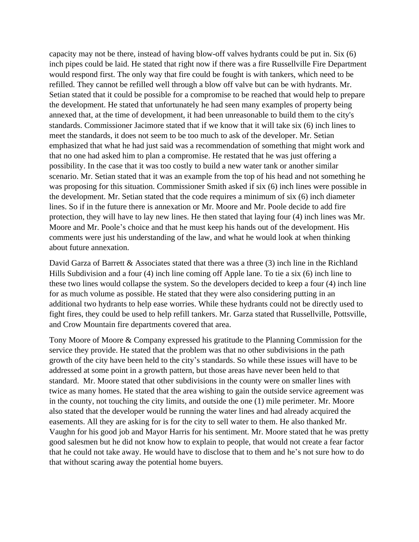capacity may not be there, instead of having blow-off valves hydrants could be put in. Six (6) inch pipes could be laid. He stated that right now if there was a fire Russellville Fire Department would respond first. The only way that fire could be fought is with tankers, which need to be refilled. They cannot be refilled well through a blow off valve but can be with hydrants. Mr. Setian stated that it could be possible for a compromise to be reached that would help to prepare the development. He stated that unfortunately he had seen many examples of property being annexed that, at the time of development, it had been unreasonable to build them to the city's standards. Commissioner Jacimore stated that if we know that it will take six (6) inch lines to meet the standards, it does not seem to be too much to ask of the developer. Mr. Setian emphasized that what he had just said was a recommendation of something that might work and that no one had asked him to plan a compromise. He restated that he was just offering a possibility. In the case that it was too costly to build a new water tank or another similar scenario. Mr. Setian stated that it was an example from the top of his head and not something he was proposing for this situation. Commissioner Smith asked if six (6) inch lines were possible in the development. Mr. Setian stated that the code requires a minimum of six (6) inch diameter lines. So if in the future there is annexation or Mr. Moore and Mr. Poole decide to add fire protection, they will have to lay new lines. He then stated that laying four (4) inch lines was Mr. Moore and Mr. Poole's choice and that he must keep his hands out of the development. His comments were just his understanding of the law, and what he would look at when thinking about future annexation.

David Garza of Barrett & Associates stated that there was a three (3) inch line in the Richland Hills Subdivision and a four (4) inch line coming off Apple lane. To tie a six (6) inch line to these two lines would collapse the system. So the developers decided to keep a four (4) inch line for as much volume as possible. He stated that they were also considering putting in an additional two hydrants to help ease worries. While these hydrants could not be directly used to fight fires, they could be used to help refill tankers. Mr. Garza stated that Russellville, Pottsville, and Crow Mountain fire departments covered that area.

Tony Moore of Moore & Company expressed his gratitude to the Planning Commission for the service they provide. He stated that the problem was that no other subdivisions in the path growth of the city have been held to the city's standards. So while these issues will have to be addressed at some point in a growth pattern, but those areas have never been held to that standard. Mr. Moore stated that other subdivisions in the county were on smaller lines with twice as many homes. He stated that the area wishing to gain the outside service agreement was in the county, not touching the city limits, and outside the one (1) mile perimeter. Mr. Moore also stated that the developer would be running the water lines and had already acquired the easements. All they are asking for is for the city to sell water to them. He also thanked Mr. Vaughn for his good job and Mayor Harris for his sentiment. Mr. Moore stated that he was pretty good salesmen but he did not know how to explain to people, that would not create a fear factor that he could not take away. He would have to disclose that to them and he's not sure how to do that without scaring away the potential home buyers.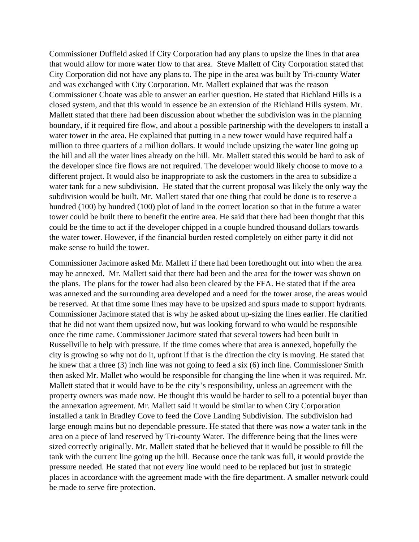Commissioner Duffield asked if City Corporation had any plans to upsize the lines in that area that would allow for more water flow to that area. Steve Mallett of City Corporation stated that City Corporation did not have any plans to. The pipe in the area was built by Tri-county Water and was exchanged with City Corporation. Mr. Mallett explained that was the reason Commissioner Choate was able to answer an earlier question. He stated that Richland Hills is a closed system, and that this would in essence be an extension of the Richland Hills system. Mr. Mallett stated that there had been discussion about whether the subdivision was in the planning boundary, if it required fire flow, and about a possible partnership with the developers to install a water tower in the area. He explained that putting in a new tower would have required half a million to three quarters of a million dollars. It would include upsizing the water line going up the hill and all the water lines already on the hill. Mr. Mallett stated this would be hard to ask of the developer since fire flows are not required. The developer would likely choose to move to a different project. It would also be inappropriate to ask the customers in the area to subsidize a water tank for a new subdivision. He stated that the current proposal was likely the only way the subdivision would be built. Mr. Mallett stated that one thing that could be done is to reserve a hundred (100) by hundred (100) plot of land in the correct location so that in the future a water tower could be built there to benefit the entire area. He said that there had been thought that this could be the time to act if the developer chipped in a couple hundred thousand dollars towards the water tower. However, if the financial burden rested completely on either party it did not make sense to build the tower.

Commissioner Jacimore asked Mr. Mallett if there had been forethought out into when the area may be annexed. Mr. Mallett said that there had been and the area for the tower was shown on the plans. The plans for the tower had also been cleared by the FFA. He stated that if the area was annexed and the surrounding area developed and a need for the tower arose, the areas would be reserved. At that time some lines may have to be upsized and spurs made to support hydrants. Commissioner Jacimore stated that is why he asked about up-sizing the lines earlier. He clarified that he did not want them upsized now, but was looking forward to who would be responsible once the time came. Commissioner Jacimore stated that several towers had been built in Russellville to help with pressure. If the time comes where that area is annexed, hopefully the city is growing so why not do it, upfront if that is the direction the city is moving. He stated that he knew that a three (3) inch line was not going to feed a six (6) inch line. Commissioner Smith then asked Mr. Mallet who would be responsible for changing the line when it was required. Mr. Mallett stated that it would have to be the city's responsibility, unless an agreement with the property owners was made now. He thought this would be harder to sell to a potential buyer than the annexation agreement. Mr. Mallett said it would be similar to when City Corporation installed a tank in Bradley Cove to feed the Cove Landing Subdivision. The subdivision had large enough mains but no dependable pressure. He stated that there was now a water tank in the area on a piece of land reserved by Tri-county Water. The difference being that the lines were sized correctly originally. Mr. Mallett stated that he believed that it would be possible to fill the tank with the current line going up the hill. Because once the tank was full, it would provide the pressure needed. He stated that not every line would need to be replaced but just in strategic places in accordance with the agreement made with the fire department. A smaller network could be made to serve fire protection.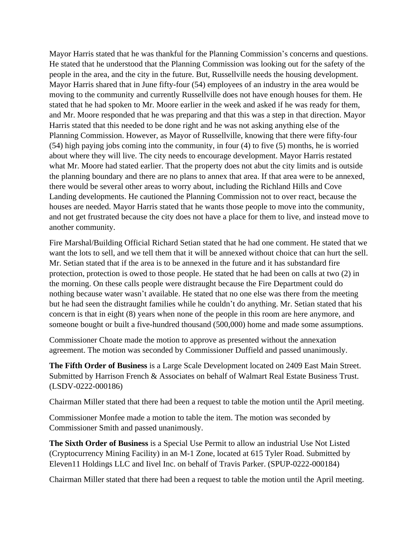Mayor Harris stated that he was thankful for the Planning Commission's concerns and questions. He stated that he understood that the Planning Commission was looking out for the safety of the people in the area, and the city in the future. But, Russellville needs the housing development. Mayor Harris shared that in June fifty-four (54) employees of an industry in the area would be moving to the community and currently Russellville does not have enough houses for them. He stated that he had spoken to Mr. Moore earlier in the week and asked if he was ready for them, and Mr. Moore responded that he was preparing and that this was a step in that direction. Mayor Harris stated that this needed to be done right and he was not asking anything else of the Planning Commission. However, as Mayor of Russellville, knowing that there were fifty-four (54) high paying jobs coming into the community, in four (4) to five (5) months, he is worried about where they will live. The city needs to encourage development. Mayor Harris restated what Mr. Moore had stated earlier. That the property does not abut the city limits and is outside the planning boundary and there are no plans to annex that area. If that area were to be annexed, there would be several other areas to worry about, including the Richland Hills and Cove Landing developments. He cautioned the Planning Commission not to over react, because the houses are needed. Mayor Harris stated that he wants those people to move into the community, and not get frustrated because the city does not have a place for them to live, and instead move to another community.

Fire Marshal/Building Official Richard Setian stated that he had one comment. He stated that we want the lots to sell, and we tell them that it will be annexed without choice that can hurt the sell. Mr. Setian stated that if the area is to be annexed in the future and it has substandard fire protection, protection is owed to those people. He stated that he had been on calls at two (2) in the morning. On these calls people were distraught because the Fire Department could do nothing because water wasn't available. He stated that no one else was there from the meeting but he had seen the distraught families while he couldn't do anything. Mr. Setian stated that his concern is that in eight (8) years when none of the people in this room are here anymore, and someone bought or built a five-hundred thousand (500,000) home and made some assumptions.

Commissioner Choate made the motion to approve as presented without the annexation agreement. The motion was seconded by Commissioner Duffield and passed unanimously.

**The Fifth Order of Business** is a Large Scale Development located on 2409 East Main Street. Submitted by Harrison French & Associates on behalf of Walmart Real Estate Business Trust. (LSDV-0222-000186)

Chairman Miller stated that there had been a request to table the motion until the April meeting.

Commissioner Monfee made a motion to table the item. The motion was seconded by Commissioner Smith and passed unanimously.

**The Sixth Order of Business** is a Special Use Permit to allow an industrial Use Not Listed (Cryptocurrency Mining Facility) in an M-1 Zone, located at 615 Tyler Road. Submitted by Eleven11 Holdings LLC and Iivel Inc. on behalf of Travis Parker. (SPUP-0222-000184)

Chairman Miller stated that there had been a request to table the motion until the April meeting.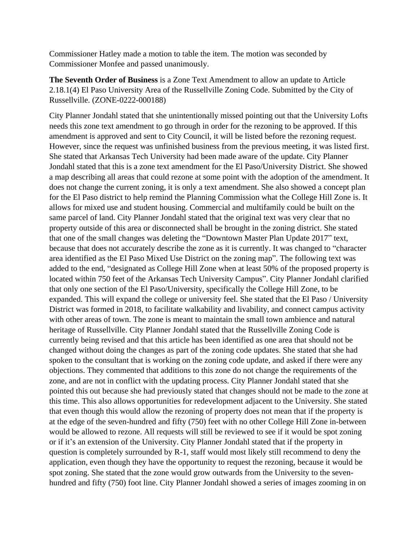Commissioner Hatley made a motion to table the item. The motion was seconded by Commissioner Monfee and passed unanimously.

**The Seventh Order of Business** is a Zone Text Amendment to allow an update to Article 2.18.1(4) El Paso University Area of the Russellville Zoning Code. Submitted by the City of Russellville. (ZONE-0222-000188)

City Planner Jondahl stated that she unintentionally missed pointing out that the University Lofts needs this zone text amendment to go through in order for the rezoning to be approved. If this amendment is approved and sent to City Council, it will be listed before the rezoning request. However, since the request was unfinished business from the previous meeting, it was listed first. She stated that Arkansas Tech University had been made aware of the update. City Planner Jondahl stated that this is a zone text amendment for the El Paso/University District. She showed a map describing all areas that could rezone at some point with the adoption of the amendment. It does not change the current zoning, it is only a text amendment. She also showed a concept plan for the El Paso district to help remind the Planning Commission what the College Hill Zone is. It allows for mixed use and student housing. Commercial and multifamily could be built on the same parcel of land. City Planner Jondahl stated that the original text was very clear that no property outside of this area or disconnected shall be brought in the zoning district. She stated that one of the small changes was deleting the "Downtown Master Plan Update 2017" text, because that does not accurately describe the zone as it is currently. It was changed to "character area identified as the El Paso Mixed Use District on the zoning map". The following text was added to the end, "designated as College Hill Zone when at least 50% of the proposed property is located within 750 feet of the Arkansas Tech University Campus". City Planner Jondahl clarified that only one section of the El Paso/University, specifically the College Hill Zone, to be expanded. This will expand the college or university feel. She stated that the El Paso / University District was formed in 2018, to facilitate walkability and livability, and connect campus activity with other areas of town. The zone is meant to maintain the small town ambience and natural heritage of Russellville. City Planner Jondahl stated that the Russellville Zoning Code is currently being revised and that this article has been identified as one area that should not be changed without doing the changes as part of the zoning code updates. She stated that she had spoken to the consultant that is working on the zoning code update, and asked if there were any objections. They commented that additions to this zone do not change the requirements of the zone, and are not in conflict with the updating process. City Planner Jondahl stated that she pointed this out because she had previously stated that changes should not be made to the zone at this time. This also allows opportunities for redevelopment adjacent to the University. She stated that even though this would allow the rezoning of property does not mean that if the property is at the edge of the seven-hundred and fifty (750) feet with no other College Hill Zone in-between would be allowed to rezone. All requests will still be reviewed to see if it would be spot zoning or if it's an extension of the University. City Planner Jondahl stated that if the property in question is completely surrounded by R-1, staff would most likely still recommend to deny the application, even though they have the opportunity to request the rezoning, because it would be spot zoning. She stated that the zone would grow outwards from the University to the sevenhundred and fifty (750) foot line. City Planner Jondahl showed a series of images zooming in on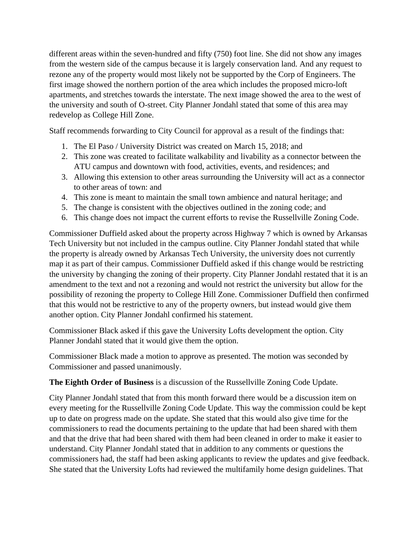different areas within the seven-hundred and fifty (750) foot line. She did not show any images from the western side of the campus because it is largely conservation land. And any request to rezone any of the property would most likely not be supported by the Corp of Engineers. The first image showed the northern portion of the area which includes the proposed micro-loft apartments, and stretches towards the interstate. The next image showed the area to the west of the university and south of O-street. City Planner Jondahl stated that some of this area may redevelop as College Hill Zone.

Staff recommends forwarding to City Council for approval as a result of the findings that:

- 1. The El Paso / University District was created on March 15, 2018; and
- 2. This zone was created to facilitate walkability and livability as a connector between the ATU campus and downtown with food, activities, events, and residences; and
- 3. Allowing this extension to other areas surrounding the University will act as a connector to other areas of town: and
- 4. This zone is meant to maintain the small town ambience and natural heritage; and
- 5. The change is consistent with the objectives outlined in the zoning code; and
- 6. This change does not impact the current efforts to revise the Russellville Zoning Code.

Commissioner Duffield asked about the property across Highway 7 which is owned by Arkansas Tech University but not included in the campus outline. City Planner Jondahl stated that while the property is already owned by Arkansas Tech University, the university does not currently map it as part of their campus. Commissioner Duffield asked if this change would be restricting the university by changing the zoning of their property. City Planner Jondahl restated that it is an amendment to the text and not a rezoning and would not restrict the university but allow for the possibility of rezoning the property to College Hill Zone. Commissioner Duffield then confirmed that this would not be restrictive to any of the property owners, but instead would give them another option. City Planner Jondahl confirmed his statement.

Commissioner Black asked if this gave the University Lofts development the option. City Planner Jondahl stated that it would give them the option.

Commissioner Black made a motion to approve as presented. The motion was seconded by Commissioner and passed unanimously.

**The Eighth Order of Business** is a discussion of the Russellville Zoning Code Update.

City Planner Jondahl stated that from this month forward there would be a discussion item on every meeting for the Russellville Zoning Code Update. This way the commission could be kept up to date on progress made on the update. She stated that this would also give time for the commissioners to read the documents pertaining to the update that had been shared with them and that the drive that had been shared with them had been cleaned in order to make it easier to understand. City Planner Jondahl stated that in addition to any comments or questions the commissioners had, the staff had been asking applicants to review the updates and give feedback. She stated that the University Lofts had reviewed the multifamily home design guidelines. That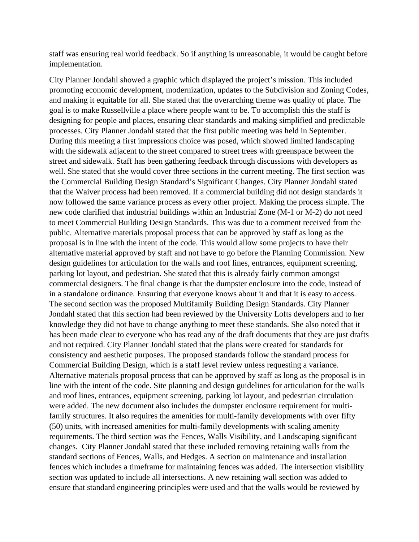staff was ensuring real world feedback. So if anything is unreasonable, it would be caught before implementation.

City Planner Jondahl showed a graphic which displayed the project's mission. This included promoting economic development, modernization, updates to the Subdivision and Zoning Codes, and making it equitable for all. She stated that the overarching theme was quality of place. The goal is to make Russellville a place where people want to be. To accomplish this the staff is designing for people and places, ensuring clear standards and making simplified and predictable processes. City Planner Jondahl stated that the first public meeting was held in September. During this meeting a first impressions choice was posed, which showed limited landscaping with the sidewalk adjacent to the street compared to street trees with greenspace between the street and sidewalk. Staff has been gathering feedback through discussions with developers as well. She stated that she would cover three sections in the current meeting. The first section was the Commercial Building Design Standard's Significant Changes. City Planner Jondahl stated that the Waiver process had been removed. If a commercial building did not design standards it now followed the same variance process as every other project. Making the process simple. The new code clarified that industrial buildings within an Industrial Zone (M-1 or M-2) do not need to meet Commercial Building Design Standards. This was due to a comment received from the public. Alternative materials proposal process that can be approved by staff as long as the proposal is in line with the intent of the code. This would allow some projects to have their alternative material approved by staff and not have to go before the Planning Commission. New design guidelines for articulation for the walls and roof lines, entrances, equipment screening, parking lot layout, and pedestrian. She stated that this is already fairly common amongst commercial designers. The final change is that the dumpster enclosure into the code, instead of in a standalone ordinance. Ensuring that everyone knows about it and that it is easy to access. The second section was the proposed Multifamily Building Design Standards. City Planner Jondahl stated that this section had been reviewed by the University Lofts developers and to her knowledge they did not have to change anything to meet these standards. She also noted that it has been made clear to everyone who has read any of the draft documents that they are just drafts and not required. City Planner Jondahl stated that the plans were created for standards for consistency and aesthetic purposes. The proposed standards follow the standard process for Commercial Building Design, which is a staff level review unless requesting a variance. Alternative materials proposal process that can be approved by staff as long as the proposal is in line with the intent of the code. Site planning and design guidelines for articulation for the walls and roof lines, entrances, equipment screening, parking lot layout, and pedestrian circulation were added. The new document also includes the dumpster enclosure requirement for multifamily structures. It also requires the amenities for multi-family developments with over fifty (50) units, with increased amenities for multi-family developments with scaling amenity requirements. The third section was the Fences, Walls Visibility, and Landscaping significant changes. City Planner Jondahl stated that these included removing retaining walls from the standard sections of Fences, Walls, and Hedges. A section on maintenance and installation fences which includes a timeframe for maintaining fences was added. The intersection visibility section was updated to include all intersections. A new retaining wall section was added to ensure that standard engineering principles were used and that the walls would be reviewed by